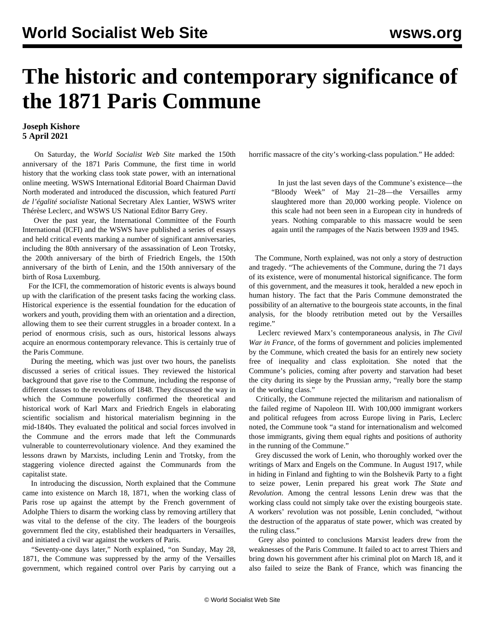## **The historic and contemporary significance of the 1871 Paris Commune**

## **Joseph Kishore 5 April 2021**

 On Saturday, the *World Socialist Web Site* marked the 150th anniversary of the 1871 Paris Commune, the first time in world history that the working class took state power, with an [international](/en/special/pages/paris-commune-150-years.html) [online meeting](/en/special/pages/paris-commune-150-years.html). WSWS International Editorial Board Chairman David North moderated and introduced the discussion, which featured *Parti de l'égalité socialiste* National Secretary Alex Lantier, WSWS writer Thérèse Leclerc, and WSWS US National Editor Barry Grey.

 Over the past year, the International Committee of the Fourth International (ICFI) and the WSWS have published a series of essays and held critical events marking a number of significant anniversaries, including the [80th anniversary of the assassination of Leon Trotsky](/en/articles/2020/08/20/anni-a20.html), the [200th anniversary of the birth of Friedrich Engels](/en/articles/2020/11/28/pers-n28.html), the [150th](/en/articles/2020/04/22/leni-a22.html) [anniversary of the birth of Lenin](/en/articles/2020/04/22/leni-a22.html), and the [150th anniversary of the](/en/articles/2021/03/08/luxe-m08.html) [birth of Rosa Luxemburg.](/en/articles/2021/03/08/luxe-m08.html)

 For the ICFI, the commemoration of historic events is always bound up with the clarification of the present tasks facing the working class. Historical experience is the essential foundation for the education of workers and youth, providing them with an orientation and a direction, allowing them to see their current struggles in a broader context. In a period of enormous crisis, such as ours, historical lessons always acquire an enormous contemporary relevance. This is certainly true of the Paris Commune.

 During the meeting, which was just over two hours, the panelists discussed a series of critical issues. They reviewed the historical background that gave rise to the Commune, including the response of different classes to the revolutions of 1848. They discussed the way in which the Commune powerfully confirmed the theoretical and historical work of Karl Marx and Friedrich Engels in elaborating scientific socialism and historical materialism beginning in the mid-1840s. They evaluated the political and social forces involved in the Commune and the errors made that left the Communards vulnerable to counterrevolutionary violence. And they examined the lessons drawn by Marxists, including Lenin and Trotsky, from the staggering violence directed against the Communards from the capitalist state.

 In introducing the discussion, North explained that the Commune came into existence on March 18, 1871, when the working class of Paris rose up against the attempt by the French government of Adolphe Thiers to disarm the working class by removing artillery that was vital to the defense of the city. The leaders of the bourgeois government fled the city, established their headquarters in Versailles, and initiated a civil war against the workers of Paris.

 "Seventy-one days later," North explained, "on Sunday, May 28, 1871, the Commune was suppressed by the army of the Versailles government, which regained control over Paris by carrying out a

horrific massacre of the city's working-class population." He added:

 In just the last seven days of the Commune's existence—the "Bloody Week" of May 21–28—the Versailles army slaughtered more than 20,000 working people. Violence on this scale had not been seen in a European city in hundreds of years. Nothing comparable to this massacre would be seen again until the rampages of the Nazis between 1939 and 1945.

 The Commune, North explained, was not only a story of destruction and tragedy. "The achievements of the Commune, during the 71 days of its existence, were of monumental historical significance. The form of this government, and the measures it took, heralded a new epoch in human history. The fact that the Paris Commune demonstrated the possibility of an alternative to the bourgeois state accounts, in the final analysis, for the bloody retribution meted out by the Versailles regime."

 Leclerc reviewed Marx's contemporaneous analysis, in *The Civil War in France*, of the forms of government and policies implemented by the Commune, which created the basis for an entirely new society free of inequality and class exploitation. She noted that the Commune's policies, coming after poverty and starvation had beset the city during its siege by the Prussian army, "really bore the stamp of the working class."

 Critically, the Commune rejected the militarism and nationalism of the failed regime of Napoleon III. With 100,000 immigrant workers and political refugees from across Europe living in Paris, Leclerc noted, the Commune took "a stand for internationalism and welcomed those immigrants, giving them equal rights and positions of authority in the running of the Commune."

 Grey discussed the work of Lenin, who thoroughly worked over the writings of Marx and Engels on the Commune. In August 1917, while in hiding in Finland and fighting to win the Bolshevik Party to a fight to seize power, Lenin prepared his great work *The State and Revolution*. Among the central lessons Lenin drew was that the working class could not simply take over the existing bourgeois state. A workers' revolution was not possible, Lenin concluded, "without the destruction of the apparatus of state power, which was created by the ruling class."

 Grey also pointed to conclusions Marxist leaders drew from the weaknesses of the Paris Commune. It failed to act to arrest Thiers and bring down his government after his criminal plot on March 18, and it also failed to seize the Bank of France, which was financing the